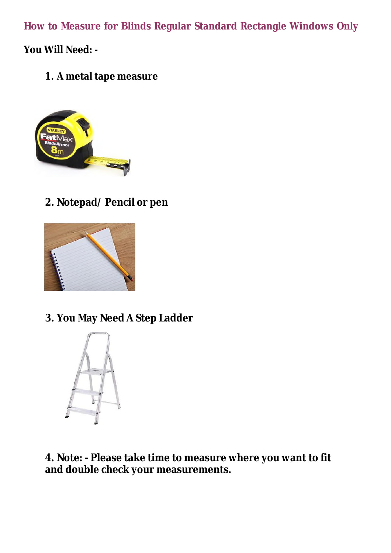**How to Measure for Blinds Regular Standard Rectangle Windows Only**

**You Will Need: -**

**1. A metal tape measure**



# **2. Notepad/ Pencil or pen**



### **3. You May Need A Step Ladder**



**4. Note: - Please take time to measure where you want to fit and double check your measurements.**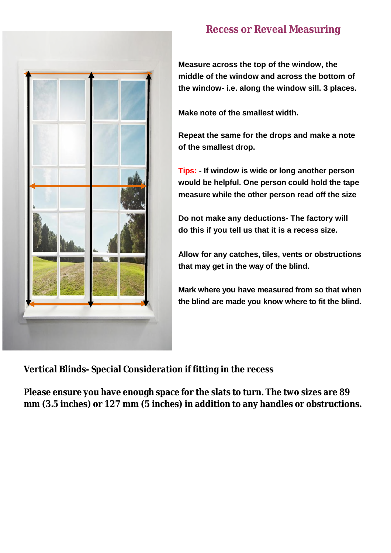

# **Recess or Reveal Measuring**

**Measure across the top of the window, the middle of the window and across the bottom of the window- i.e. along the window sill. 3 places.**

**Make note of the smallest width.**

**Repeat the same for the drops and make a note of the smallest drop.**

**Tips: - If window is wide or long another person would be helpful. One person could hold the tape measure while the other person read off the size**

**Do not make any deductions- The factory will do this if you tell us that it is a recess size.**

**Allow for any catches, tiles, vents or obstructions that may get in the way of the blind.**

**Mark where you have measured from so that when the blind are made you know where to fit the blind.**

**Vertical Blinds- Special Consideration if fitting in the recess**

**Please ensure you have enough space for the slats to turn. The two sizes are 89 mm (3.5 inches) or 127 mm (5 inches) in addition to any handles or obstructions.**